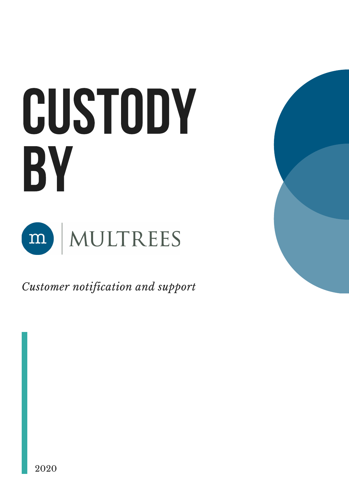



*Customer notification and support*

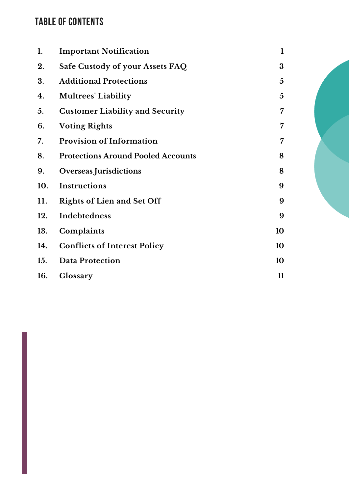# TABLE OF CONTENTS

| 1.  | <b>Important Notification</b>             | $\mathbf 1$   |
|-----|-------------------------------------------|---------------|
| 2.  | Safe Custody of your Assets FAQ           | 3             |
| 3.  | <b>Additional Protections</b>             | 5             |
| 4.  | <b>Multrees' Liability</b>                | 5             |
| 5.  | <b>Customer Liability and Security</b>    | 7             |
| 6.  | <b>Voting Rights</b>                      | 7             |
| 7.  | <b>Provision of Information</b>           | 7             |
| 8.  | <b>Protections Around Pooled Accounts</b> | 8             |
| 9.  | <b>Overseas Jurisdictions</b>             | 8             |
| 10. | Instructions                              | 9             |
| 11. | <b>Rights of Lien and Set Off</b>         | 9             |
| 12. | Indebtedness                              | 9             |
| 13. | Complaints                                | 10            |
| 14. | <b>Conflicts of Interest Policy</b>       | 10            |
| 15. | <b>Data Protection</b>                    | 10            |
| 16. | Glossary                                  | $\mathbf{11}$ |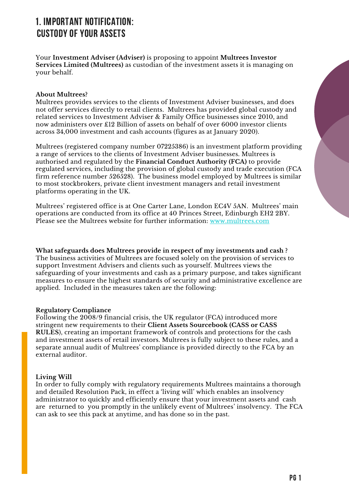# 1. IMPORTANT NOTIFICATION: CUSTODY OF YOUR ASSETS

Your **Investment Adviser (Adviser)** is proposing to appoint **Multrees Investor Services Limited (Multrees)** as custodian of the investment assets it is managing on your behalf.

## **About Multrees?**

Multrees provides services to the clients of Investment Adviser businesses, and does not offer services directly to retail clients. Multrees has provided global custody and related services to Investment Adviser & Family Office businesses since 2010, and now administers over £12 Billion of assets on behalf of over 6000 investor clients across 34,000 investment and cash accounts (figures as at January 2020).

Multrees (registered company number 07225386) is an investment platform providing a range of services to the clients of Investment Adviser businesses. Multrees is authorised and regulated by the **Financial Conduct Authority (FCA)** to provide regulated services, including the provision of global custody and trade execution (FCA firm reference number 526528). The business model employed by Multrees is similar to most stockbrokers, private client investment managers and retail investment platforms operating in the UK.

Multrees' registered office is at One Carter Lane, London EC4V 5AN. Multrees' main operations are conducted from its office at 40 Princes Street, Edinburgh EH2 2BY. Please see the Multrees website for further information: [www.multrees.com](http://www.multrees.com/)

**What safeguards does Multrees provide in respect of my investments and cash ?** The business activities of Multrees are focused solely on the provision of services to support Investment Advisers and clients such as yourself. Multrees views the safeguarding of your investments and cash as a primary purpose, and takes significant measures to ensure the highest standards of security and administrative excellence are applied. Included in the measures taken are the following:

## **Regulatory Compliance**

Following the 2008/9 financial crisis, the UK regulator (FCA) introduced more stringent new requirements to their **Client Assets Sourcebook (CASS or CASS RULES**), creating an important framework of controls and protections for the cash and investment assets of retail investors. Multrees is fully subject to these rules, and a separate annual audit of Multrees' compliance is provided directly to the FCA by an external auditor.

## **Living Will**

In order to fully comply with regulatory requirements Multrees maintains a thorough and detailed Resolution Pack, in effect a 'living will' which enables an insolvency administrator to quickly and efficiently ensure that your investment assets and cash are returned to you promptly in the unlikely event of Multrees' insolvency. The FCA can ask to see this pack at anytime, and has done so in the past.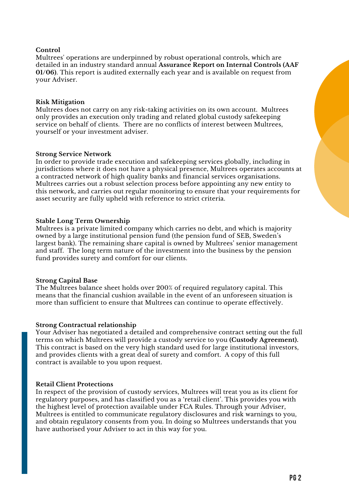## **Control**

Multrees' operations are underpinned by robust operational controls, which are detailed in an industry standard annual **Assurance Report on Internal Controls (AAF 01/06)**. This report is audited externally each year and is available on request from your Adviser.

## **Risk Mitigation**

Multrees does not carry on any risk-taking activities on its own account. Multrees only provides an execution only trading and related global custody safekeeping service on behalf of clients. There are no conflicts of interest between Multrees, yourself or your investment adviser.

## **Strong Service Network**

In order to provide trade execution and safekeeping services globally, including in jurisdictions where it does not have a physical presence, Multrees operates accounts at a contracted network of high quality banks and financial services organisations. Multrees carries out a robust selection process before appointing any new entity to this network, and carries out regular monitoring to ensure that your requirements for asset security are fully upheld with reference to strict criteria.

## **Stable Long Term Ownership**

Multrees is a private limited company which carries no debt, and which is majority owned by a large institutional pension fund (the pension fund of SEB, Sweden's largest bank). The remaining share capital is owned by Multrees' senior management and staff. The long term nature of the investment into the business by the pension fund provides surety and comfort for our clients.

## **Strong Capital Base**

The Multrees balance sheet holds over 200% of required regulatory capital. This means that the financial cushion available in the event of an unforeseen situation is more than sufficient to ensure that Multrees can continue to operate effectively.

## **Strong Contractual relationship**

Your Adviser has negotiated a detailed and comprehensive contract setting out the full terms on which Multrees will provide a custody service to you **(Custody Agreement).** This contract is based on the very high standard used for large institutional investors, and provides clients with a great deal of surety and comfort. A copy of this full contract is available to you upon request.

## **Retail Client Protections**

In respect of the provision of custody services, Multrees will treat you as its client for regulatory purposes, and has classified you as a 'retail client'. This provides you with the highest level of protection available under FCA Rules. Through your Adviser, Multrees is entitled to communicate regulatory disclosures and risk warnings to you, and obtain regulatory consents from you. In doing so Multrees understands that you have authorised your Adviser to act in this way for you.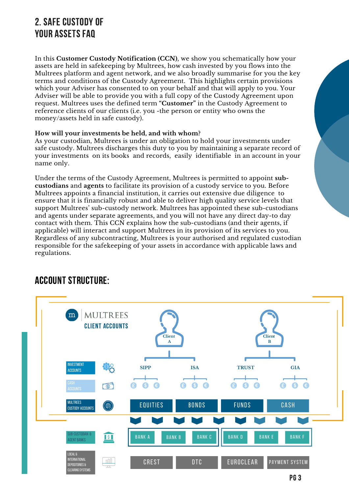# 2. SAFE CUSTODY OF YOUR ASSETS FAQ

In this **Customer Custody Notification (CCN)**, we show you schematically how your assets are held in safekeeping by Multrees, how cash invested by you flows into the Multrees platform and agent network, and we also broadly summarise for you the key terms and conditions of the Custody Agreement. This highlights certain provisions which your Adviser has consented to on your behalf and that will apply to you. Your Adviser will be able to provide you with a full copy of the Custody Agreement upon request. Multrees uses the defined term **"Customer"** in the Custody Agreement to reference clients of our clients (i.e. you -the person or entity who owns the money/assets held in safe custody).

## **How will your investments be held, and with whom?**

As your custodian, Multrees is under an obligation to hold your investments under safe custody. Multrees discharges this duty to you by maintaining a separate record of your investments on its books and records, easily identifiable in an account in your name only.

Under the terms of the Custody Agreement, Multrees is permitted to appoint **subcustodians** and **agents** to facilitate its provision of a custody service to you. Before Multrees appoints a financial institution, it carries out extensive due diligence to ensure that it is financially robust and able to deliver high quality service levels that support Multrees' sub-custody network. Multrees has appointed these sub-custodians and agents under separate agreements, and you will not have any direct day-to day contact with them. This CCN explains how the sub-custodians (and their agents, if applicable) will interact and support Multrees in its provision of its services to you. Regardless of any subcontracting, Multrees is your authorised and regulated custodian responsible for the safekeeping of your assets in accordance with applicable laws and regulations.

# ACCOUNT STRUCTURE:

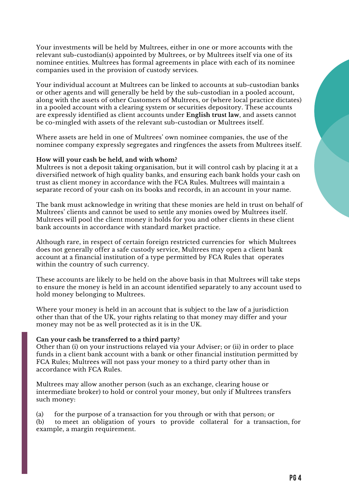Your investments will be held by Multrees, either in one or more accounts with the relevant sub-custodian(s) appointed by Multrees, or by Multrees itself via one of its nominee entities. Multrees has formal agreements in place with each of its nominee companies used in the provision of custody services.

Your individual account at Multrees can be linked to accounts at sub-custodian banks or other agents and will generally be held by the sub-custodian in a pooled account, along with the assets of other Customers of Multrees, or (where local practice dictates) in a pooled account with a clearing system or securities depository. These accounts are expressly identified as client accounts under **English trust law**, and assets cannot be co-mingled with assets of the relevant sub-custodian or Multrees itself.

Where assets are held in one of Multrees' own nominee companies, the use of the nominee company expressly segregates and ringfences the assets from Multrees itself.

### **How will your cash be held, and with whom?**

Multrees is not a deposit taking organisation, but it will control cash by placing it at a diversified network of high quality banks, and ensuring each bank holds your cash on trust as client money in accordance with the FCA Rules. Multrees will maintain a separate record of your cash on its books and records, in an account in your name.

The bank must acknowledge in writing that these monies are held in trust on behalf of Multrees' clients and cannot be used to settle any monies owed by Multrees itself. Multrees will pool the client money it holds for you and other clients in these client bank accounts in accordance with standard market practice.

Although rare, in respect of certain foreign restricted currencies for which Multrees does not generally offer a safe custody service, Multrees may open a client bank account at a financial institution of a type permitted by FCA Rules that operates within the country of such currency.

These accounts are likely to be held on the above basis in that Multrees will take steps to ensure the money is held in an account identified separately to any account used to hold money belonging to Multrees.

Where your money is held in an account that is subject to the law of a jurisdiction other than that of the UK, your rights relating to that money may differ and your money may not be as well protected as it is in the UK.

### **Can your cash be transferred to a third party?**

Other than (i) on your instructions relayed via your Adviser; or (ii) in order to place funds in a client bank account with a bank or other financial institution permitted by FCA Rules; Multrees will not pass your money to a third party other than in accordance with FCA Rules.

Multrees may allow another person (such as an exchange, clearing house or intermediate broker) to hold or control your money, but only if Multrees transfers such money:

(a) for the purpose of a transaction for you through or with that person; or (b) to meet an obligation of yours to provide collateral for a transaction, for example, a margin requirement.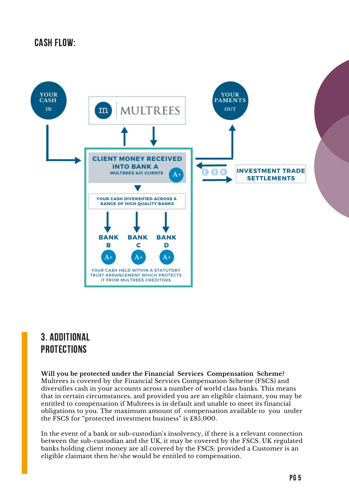# CASH FLOW:



## 3. ADDITIONAL **PROTECTIONS**

**Will you be protected under the Financial Services Compensation Scheme?** Multrees is covered by the Financial Services Compensation Scheme (FSCS) and diversifies cash in your accounts across a number of world class banks. This means that in certain circumstances, and provided you are an eligible claimant, you may be entitled to compensation if Multrees is in default and unable to meet its financial obligations to you. The maximum amount of compensation available to you under the FSCS for "protected investment business" is £85,000.

In the event of a bank or sub-custodian's insolvency, if there is a relevant connection between the sub-custodian and the UK, it may be covered by the FSCS. UK regulated banks holding client money are all covered by the FSCS: provided a Customer is an eligible claimant then he/she would be entitled to compensation.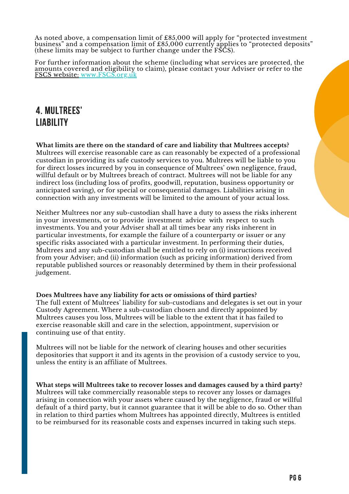As noted above, a compensation limit of £85,000 will apply for "protected investment business" and a compensation limit of £85,000 currently applies to "protected deposits" (these limits may be subject to further change under the FSCS).

For further information about the scheme (including what services are protected, the amounts covered and eligibility to claim), please contact your Adviser or refer to the FSCS [website:](http://www.fscs.org.uk/) [www.FSCS.org.uk](http://www.fscs.org.uk/)

# 4. MULTREES' LIABILITY

**What limits are there on the standard of care and liability that Multrees accepts?** Multrees will exercise reasonable care as can reasonably be expected of a professional custodian in providing its safe custody services to you. Multrees will be liable to you for direct losses incurred by you in consequence of Multrees' own negligence, fraud, willful default or by Multrees breach of contract. Multrees will not be liable for any indirect loss (including loss of profits, goodwill, reputation, business opportunity or anticipated saving), or for special or consequential damages. Liabilities arising in connection with any investments will be limited to the amount of your actual loss.

Neither Multrees nor any sub-custodian shall have a duty to assess the risks inherent in your investments, or to provide investment advice with respect to such investments. You and your Adviser shall at all times bear any risks inherent in particular investments, for example the failure of a counterparty or issuer or any specific risks associated with a particular investment. In performing their duties, Multrees and any sub-custodian shall be entitled to rely on (i) instructions received from your Adviser; and (ii) information (such as pricing information) derived from reputable published sources or reasonably determined by them in their professional judgement.

**Does Multrees have any liability for acts or omissions of third parties?** The full extent of Multrees' liability for sub-custodians and delegates is set out in your Custody Agreement. Where a sub-custodian chosen and directly appointed by Multrees causes you loss, Multrees will be liable to the extent that it has failed to exercise reasonable skill and care in the selection, appointment, supervision or continuing use of that entity.

Multrees will not be liable for the network of clearing houses and other securities depositories that support it and its agents in the provision of a custody service to you, unless the entity is an affiliate of Multrees.

**What steps will Multrees take to recover losses and damages caused by a third party?** Multrees will take commercially reasonable steps to recover any losses or damages arising in connection with your assets where caused by the negligence, fraud or willful default of a third party, but it cannot guarantee that it will be able to do so. Other than in relation to third parties whom Multrees has appointed directly, Multrees is entitled to be reimbursed for its reasonable costs and expenses incurred in taking such steps.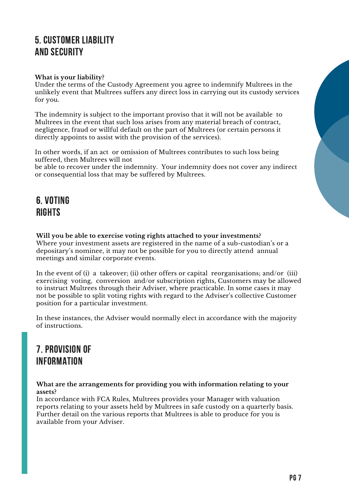# 5. CUSTOMER LIABILITY AND SECURITY

## **What is your liability?**

Under the terms of the Custody Agreement you agree to indemnify Multrees in the unlikely event that Multrees suffers any direct loss in carrying out its custody services for you.

The indemnity is subject to the important proviso that it will not be available to Multrees in the event that such loss arises from any material breach of contract, negligence, fraud or willful default on the part of Multrees (or certain persons it directly appoints to assist with the provision of the services).

In other words, if an act or omission of Multrees contributes to such loss being suffered, then Multrees will not

be able to recover under the indemnity. Your indemnity does not cover any indirect or consequential loss that may be suffered by Multrees.

# 6. VOTING RIGHTS

**Will you be able to exercise voting rights attached to your investments?** Where your investment assets are registered in the name of a sub-custodian's or a depositary's nominee, it may not be possible for you to directly attend annual meetings and similar corporate events.

In the event of (i) a takeover; (ii) other offers or capital reorganisations; and/or (iii) exercising voting, conversion and/or subscription rights, Customers may be allowed to instruct Multrees through their Adviser, where practicable. In some cases it may not be possible to split voting rights with regard to the Adviser's collective Customer position for a particular investment.

In these instances, the Adviser would normally elect in accordance with the majority of instructions.

# 7. PROVISION OF INFORMATION

**What are the arrangements for providing you with information relating to your assets?**

In accordance with FCA Rules, Multrees provides your Manager with valuation reports relating to your assets held by Multrees in safe custody on a quarterly basis. Further detail on the various reports that Multrees is able to produce for you is available from your Adviser.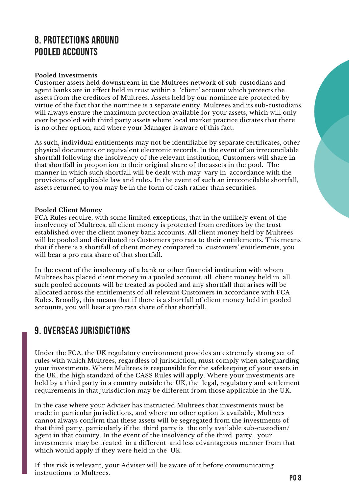# 8. PROTECTIONS AROUND POOLED ACCOUNTS

## **Pooled Investments**

Customer assets held downstream in the Multrees network of sub-custodians and agent banks are in effect held in trust within a 'client' account which protects the assets from the creditors of Multrees. Assets held by our nominee are protected by virtue of the fact that the nominee is a separate entity. Multrees and its sub-custodians will always ensure the maximum protection available for your assets, which will only ever be pooled with third party assets where local market practice dictates that there is no other option, and where your Manager is aware of this fact.

As such, individual entitlements may not be identifiable by separate certificates, other physical documents or equivalent electronic records. In the event of an irreconcilable shortfall following the insolvency of the relevant institution, Customers will share i**n** that shortfall in proportion to their original share of the assets in the pool. The manner in which such shortfall will be dealt with may vary in accordance with the provisions of applicable law and rules. In the event of such an irreconcilable shortfall, assets returned to you may be in the form of cash rather than securities.

## **Pooled Client Money**

FCA Rules require, with some limited exceptions, that in the unlikely event of the insolvency of Multrees, all client money is protected from creditors by the trust established over the client money bank accounts. All client money held by Multrees will be pooled and distributed to Customers pro rata to their entitlements. This means that if there is a shortfall of client money compared to customers' entitlements, you will bear a pro rata share of that shortfall.

In the event of the insolvency of a bank or other financial institution with whom Multrees has placed client money in a pooled account, all client money held in all such pooled accounts will be treated as pooled and any shortfall that arises will be allocated across the entitlements of all relevant Customers in accordance with FCA Rules. Broadly, this means that if there is a shortfall of client money held in pooled accounts, you will bear a pro rata share of that shortfall.

## 9. OVERSEAS JURISDICTIONS

Under the FCA, the UK regulatory environment provides an extremely strong set of rules with which Multrees, regardless of jurisdiction, must comply when safeguarding your investments. Where Multrees is responsible for the safekeeping of your assets in the UK, the high standard of the CASS Rules will apply. Where your investments are held by a third party in a country outside the UK, the legal, regulatory and settlement requirements in that jurisdiction may be different from those applicable in the UK.

In the case where your Adviser has instructed Multrees that investments must be made in particular jurisdictions, and where no other option is available, Multrees cannot always confirm that these assets will be segregated from the investments of that third party, particularly if the third party is the only available sub-custodian/ agent in that country. In the event of the insolvency of the third party, your investments may be treated in a different and less advantageous manner from that which would apply if they were held in the UK.

If this risk is relevant, your Adviser will be aware of it before communicating instructions to Multrees.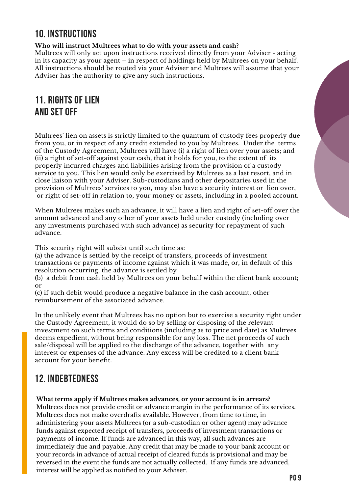# 10. INSTRUCTIONS

**Who will instruct Multrees what to do with your assets and cash?**

Multrees will only act upon instructions received directly from your Adviser - acting in its capacity as your agent – in respect of holdings held by Multrees on your behalf. All instructions should be routed via your Adviser and Multrees will assume that your Adviser has the authority to give any such instructions.

# 11. RIGHTS OF LIEN AND SET OFF

Multrees' lien on assets is strictly limited to the quantum of custody fees properly due from you, or in respect of any credit extended to you by Multrees. Under the terms of the Custody Agreement, Multrees will have (i) a right of lien over your assets; and (ii) a right of set-off against your cash, that it holds for you, to the extent of its properly incurred charges and liabilities arising from the provision of a custody service to you. This lien would only be exercised by Multrees as a last resort, and in close liaison with your Adviser. Sub-custodians and other depositaries used in the provision of Multrees' services to you, may also have a security interest or lien over, or right of set-off in relation to, your money or assets, including in a pooled account.

When Multrees makes such an advance, it will have a lien and right of set-off over the amount advanced and any other of your assets held under custody (including over any investments purchased with such advance) as security for repayment of such advance.

This security right will subsist until such time as:

(a) the advance is settled by the receipt of transfers, proceeds of investment transactions or payments of income against which it was made, or, in default of this resolution occurring, the advance is settled by

(b) a debit from cash held by Multrees on your behalf within the client bank account; or

(c) if such debit would produce a negative balance in the cash account, other reimbursement of the associated advance.

In the unlikely event that Multrees has no option but to exercise a security right under the Custody Agreement, it would do so by selling or disposing of the relevant investment on such terms and conditions (including as to price and date) as Multrees deems expedient, without being responsible for any loss. The net proceeds of such sale/disposal will be applied to the discharge of the advance, together with any interest or expenses of the advance. Any excess will be credited to a client bank account for your benefit.

# 12. INDEBTEDNESS

**What terms apply if Multrees makes advances, or your account is in arrears?**

Multrees does not provide credit or advance margin in the performance of its services. Multrees does not make overdrafts available. However, from time to time, in administering your assets Multrees (or a sub-custodian or other agent) may advance funds against expected receipt of transfers, proceeds of investment transactions or payments of income. If funds are advanced in this way, all such advances are immediately due and payable. Any credit that may be made to your bank account or your records in advance of actual receipt of cleared funds is provisional and may be reversed in the event the funds are not actually collected. If any funds are advanced, interest will be applied as notified to your Adviser.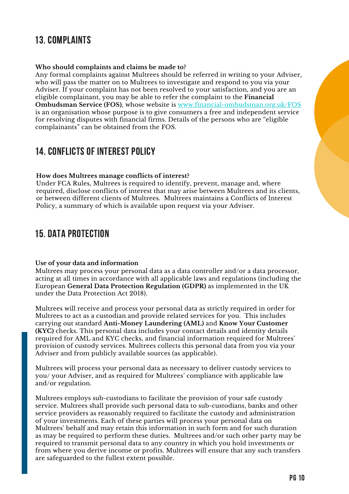## 13. COMPLAINTS

### **Who should complaints and claims be made to?**

Any formal complaints against Multrees should be referred in writing to your Adviser, who will pass the matter on to Multrees to investigate and respond to you via your Adviser. If your complaint has not been resolved to your satisfaction, and you are an eligible complainant, you may be able to refer the complaint to the **Financial Ombudsman Service (FOS)**, whose website is [www.financial-ombudsman.org.uk/FOS](http://www.financial-ombudsman.org.uk/.FOS) is an organisation whose purpose is to give consumers a free and independent service for resolving disputes with financial firms. Details of the persons who are "eligible complainants" can be obtained from the FOS.

## 14. CONFLICTS OF INTEREST POLICY

### **How does Multrees manage conflicts of interest?**

Under FCA Rules, Multrees is required to identify, prevent, manage and, where required, disclose conflicts of interest that may arise between Multrees and its clients, or between different clients of Multrees. Multrees maintains a Conflicts of Interest Policy, a summary of which is available upon request via your Adviser.

## 15. DATA PROTECTION

### **Use of your data and information**

Multrees may process your personal data as a data controller and/or a data processor, acting at all times in accordance with all applicable laws and regulations (including the European **General Data Protection Regulation (GDPR)** as implemented in the UK under the Data Protection Act 2018).

Multrees will receive and process your personal data as strictly required in order for Multrees to act as a custodian and provide related services for you. This includes carrying out standard **Anti-Money Laundering (AML)** and **Know Your Customer (KYC)** checks. This personal data includes your contact details and identity details required for AML and KYC checks, and financial information required for Multrees' provision of custody services. Multrees collects this personal data from you via your Adviser and from publicly available sources (as applicable).

Multrees will process your personal data as necessary to deliver custody services to you/ your Adviser, and as required for Multrees' compliance with applicable law and/or regulation.

Multrees employs sub-custodians to facilitate the provision of your safe custody service. Multrees shall provide such personal data to sub-custodians, banks and other service providers as reasonably required to facilitate the custody and administration of your investments. Each of these parties will process your personal data on Multrees' behalf and may retain this information in such form and for such duration as may be required to perform these duties. Multrees and/or such other party may be required to transmit personal data to any country in which you hold investments or from where you derive income or profits. Multrees will ensure that any such transfers are safeguarded to the fullest extent possible.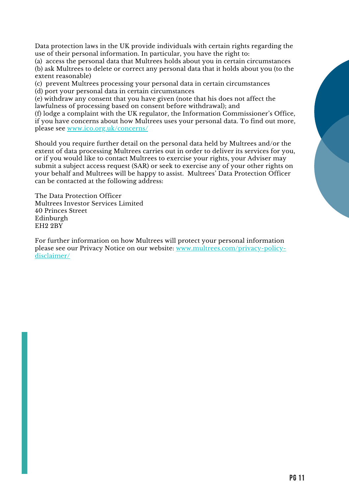Data protection laws in the UK provide individuals with certain rights regarding the use of their personal information. In particular, you have the right to:

(a) access the personal data that Multrees holds about you in certain circumstances (b) ask Multrees to delete or correct any personal data that it holds about you (to the extent reasonable)

(c) prevent Multrees processing your personal data in certain circumstances (d) port your personal data in certain circumstances

(e) withdraw any consent that you have given (note that his does not affect the lawfulness of processing based on consent before withdrawal); and

(f) lodge a complaint with the UK regulator, the Information Commissioner's Office, if you have concerns about how Multrees uses your personal data. To find out more, please see [www.ico.org.uk/concerns/](http://www.ico.org.uk/concerns/)

Should you require further detail on the personal data held by Multrees and/or the extent of data processing Multrees carries out in order to deliver its services for you, or if you would like to contact Multrees to exercise your rights, your Adviser may submit a subject access request (SAR) or seek to exercise any of your other rights on your behalf and Multrees will be happy to assist. Multrees' Data Protection Officer can be contacted at the following address:

The Data Protection Officer Multrees Investor Services Limited 40 Princes Street Edinburgh EH2 2BY

For further information on how Multrees will protect your personal information please see our Privacy Notice on our website: [www.multrees.com/privacy-policy](http://www.multrees.com/privacy-policy-disclaimer/)disclaimer/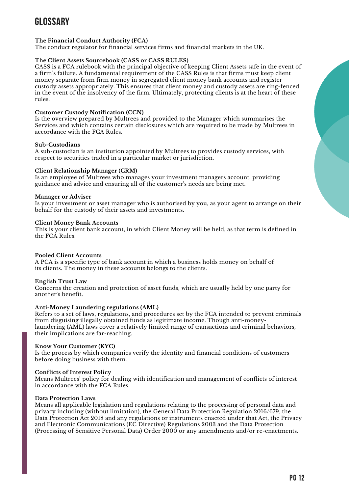# GLOSSARY

### **The Financial Conduct Authority (FCA)**

The conduct regulator for financial services firms and financial markets in the UK.

### **The Client Assets Sourcebook (CASS or CASS RULES)**

CASS is a FCA rulebook with the principal objective of keeping Client Assets safe in the event of a firm's failure. A fundamental requirement of the CASS Rules is that firms must keep client money separate from firm money in segregated client money bank accounts and register custody assets appropriately. This ensures that client money and custody assets are ring-fenced in the event of the insolvency of the firm. Ultimately, protecting clients is at the heart of these rules.

### **Customer Custody Notification (CCN)**

Is the overview prepared by Multrees and provided to the Manager which summarises the Services and which contains certain disclosures which are required to be made by Multrees in accordance with the FCA Rules.

### **Sub-Custodians**

A sub-custodian is an institution appointed by Multrees to provides custody services, with respect to securities traded in a particular market or jurisdiction.

### **Client Relationship Manager (CRM)**

Is an employee of Multrees who manages your investment managers account, providing guidance and advice and ensuring all of the customer's needs are being met.

### **Manager or Adviser**

Is your investment or asset manager who is authorised by you, as your agent to arrange on their behalf for the custody of their assets and investments.

### **Client Money Bank Accounts**

This is your client bank account, in which Client Money will be held, as that term is defined in the FCA Rules.

### **Pooled Client Accounts**

A PCA is a specific type of bank account in which a business holds money on behalf of its clients. The money in these accounts belongs to the clients.

### **English Trust Law**

Concerns the creation and protection of asset funds, which are usually held by one party for another's benefit.

#### **Anti-Money Laundering regulations (AML)**

Refers to a set of laws, regulations, and procedures set by the FCA intended to prevent criminals from disguising illegally obtained funds as legitimate income. Though anti-moneylaundering (AML) laws cover a relatively limited range of transactions and criminal behaviors, their implications are far-reaching.

#### **Know Your Customer (KYC)**

Is the process by which companies verify the identity and financial conditions of customers before doing business with them.

### **Conflicts of Interest Policy**

Means Multrees' policy for dealing with identification and management of conflicts of interest in accordance with the FCA Rules.

#### **Data Protection Laws**

Means all applicable legislation and regulations relating to the processing of personal data and privacy including (without limitation), the General Data Protection Regulation 2016/679, the Data Protection Act 2018 and any regulations or instruments enacted under that Act, the Privacy and Electronic Communications (EC Directive) Regulations 2003 and the Data Protection (Processing of Sensitive Personal Data) Order 2000 or any amendments and/or re-enactments.